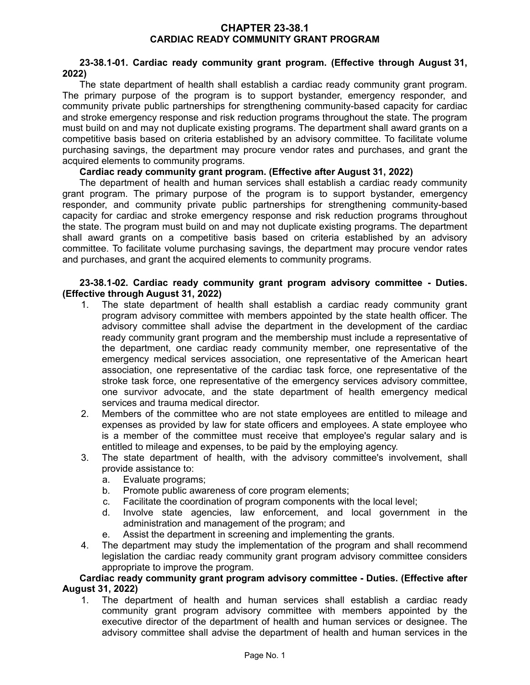### **CHAPTER 23-38.1 CARDIAC READY COMMUNITY GRANT PROGRAM**

# **23-38.1-01. Cardiac ready community grant program. (Effective through August 31, 2022)**

The state department of health shall establish a cardiac ready community grant program. The primary purpose of the program is to support bystander, emergency responder, and community private public partnerships for strengthening community-based capacity for cardiac and stroke emergency response and risk reduction programs throughout the state. The program must build on and may not duplicate existing programs. The department shall award grants on a competitive basis based on criteria established by an advisory committee. To facilitate volume purchasing savings, the department may procure vendor rates and purchases, and grant the acquired elements to community programs.

# **Cardiac ready community grant program. (Effective after August 31, 2022)**

The department of health and human services shall establish a cardiac ready community grant program. The primary purpose of the program is to support bystander, emergency responder, and community private public partnerships for strengthening community-based capacity for cardiac and stroke emergency response and risk reduction programs throughout the state. The program must build on and may not duplicate existing programs. The department shall award grants on a competitive basis based on criteria established by an advisory committee. To facilitate volume purchasing savings, the department may procure vendor rates and purchases, and grant the acquired elements to community programs.

### **23-38.1-02. Cardiac ready community grant program advisory committee - Duties. (Effective through August 31, 2022)**

- 1. The state department of health shall establish a cardiac ready community grant program advisory committee with members appointed by the state health officer. The advisory committee shall advise the department in the development of the cardiac ready community grant program and the membership must include a representative of the department, one cardiac ready community member, one representative of the emergency medical services association, one representative of the American heart association, one representative of the cardiac task force, one representative of the stroke task force, one representative of the emergency services advisory committee, one survivor advocate, and the state department of health emergency medical services and trauma medical director.
- 2. Members of the committee who are not state employees are entitled to mileage and expenses as provided by law for state officers and employees. A state employee who is a member of the committee must receive that employee's regular salary and is entitled to mileage and expenses, to be paid by the employing agency.
- 3. The state department of health, with the advisory committee's involvement, shall provide assistance to:
	- a. Evaluate programs;
	- b. Promote public awareness of core program elements;
	- c. Facilitate the coordination of program components with the local level;
	- d. Involve state agencies, law enforcement, and local government in the administration and management of the program; and
	- e. Assist the department in screening and implementing the grants.
- 4. The department may study the implementation of the program and shall recommend legislation the cardiac ready community grant program advisory committee considers appropriate to improve the program.

#### **Cardiac ready community grant program advisory committee - Duties. (Effective after August 31, 2022)**

1. The department of health and human services shall establish a cardiac ready community grant program advisory committee with members appointed by the executive director of the department of health and human services or designee. The advisory committee shall advise the department of health and human services in the